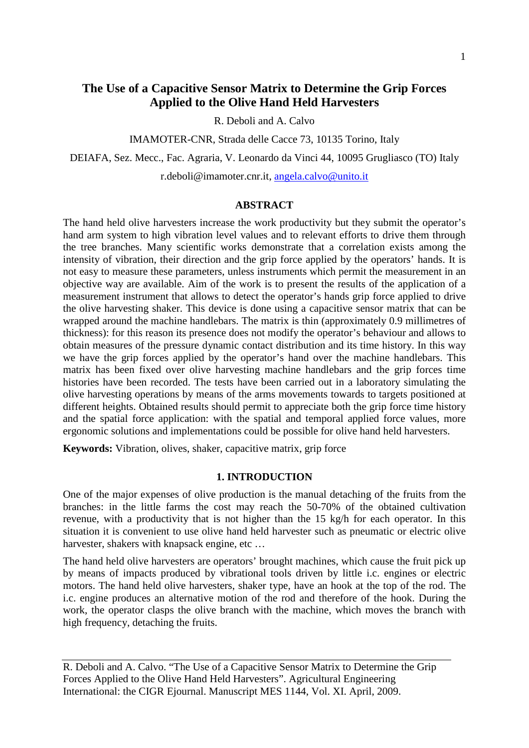# **The Use of a Capacitive Sensor Matrix to Determine the Grip Forces Applied to the Olive Hand Held Harvesters**

R. Deboli and A. Calvo

IMAMOTER-CNR, Strada delle Cacce 73, 10135 Torino, Italy

DEIAFA, Sez. Mecc., Fac. Agraria, V. Leonardo da Vinci 44, 10095 Grugliasco (TO) Italy

r.deboli@imamoter.cnr.it, [angela.calvo@unito.it](mailto:angela.calvo@unito.it)

### **ABSTRACT**

The hand held olive harvesters increase the work productivity but they submit the operator's hand arm system to high vibration level values and to relevant efforts to drive them through the tree branches. Many scientific works demonstrate that a correlation exists among the intensity of vibration, their direction and the grip force applied by the operators' hands. It is not easy to measure these parameters, unless instruments which permit the measurement in an objective way are available. Aim of the work is to present the results of the application of a measurement instrument that allows to detect the operator's hands grip force applied to drive the olive harvesting shaker. This device is done using a capacitive sensor matrix that can be wrapped around the machine handlebars. The matrix is thin (approximately 0.9 millimetres of thickness): for this reason its presence does not modify the operator's behaviour and allows to obtain measures of the pressure dynamic contact distribution and its time history. In this way we have the grip forces applied by the operator's hand over the machine handlebars. This matrix has been fixed over olive harvesting machine handlebars and the grip forces time histories have been recorded. The tests have been carried out in a laboratory simulating the olive harvesting operations by means of the arms movements towards to targets positioned at different heights. Obtained results should permit to appreciate both the grip force time history and the spatial force application: with the spatial and temporal applied force values, more ergonomic solutions and implementations could be possible for olive hand held harvesters.

**Keywords:** Vibration, olives, shaker, capacitive matrix, grip force

### **1. INTRODUCTION**

One of the major expenses of olive production is the manual detaching of the fruits from the branches: in the little farms the cost may reach the 50-70% of the obtained cultivation revenue, with a productivity that is not higher than the 15 kg/h for each operator. In this situation it is convenient to use olive hand held harvester such as pneumatic or electric olive harvester, shakers with knapsack engine, etc …

The hand held olive harvesters are operators' brought machines, which cause the fruit pick up by means of impacts produced by vibrational tools driven by little i.c. engines or electric motors. The hand held olive harvesters, shaker type, have an hook at the top of the rod. The i.c. engine produces an alternative motion of the rod and therefore of the hook. During the work, the operator clasps the olive branch with the machine, which moves the branch with high frequency, detaching the fruits.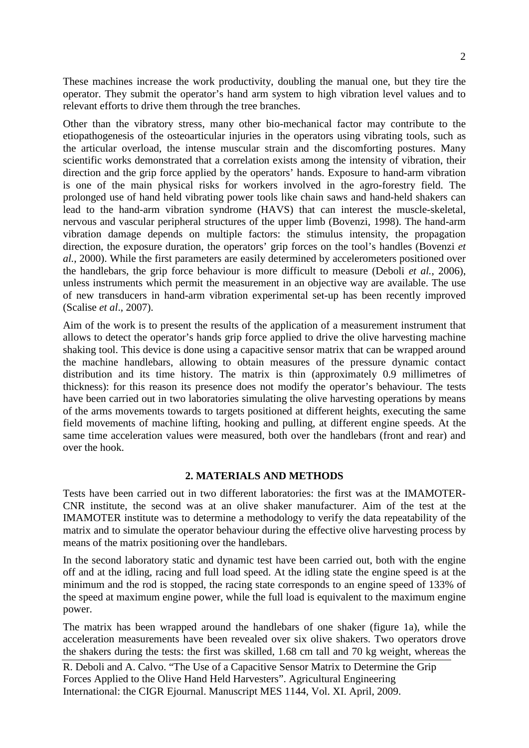These machines increase the work productivity, doubling the manual one, but they tire the operator. They submit the operator's hand arm system to high vibration level values and to relevant efforts to drive them through the tree branches.

Other than the vibratory stress, many other bio-mechanical factor may contribute to the etiopathogenesis of the osteoarticular injuries in the operators using vibrating tools, such as the articular overload, the intense muscular strain and the discomforting postures. Many scientific works demonstrated that a correlation exists among the intensity of vibration, their direction and the grip force applied by the operators' hands. Exposure to hand-arm vibration is one of the main physical risks for workers involved in the agro-forestry field. The prolonged use of hand held vibrating power tools like chain saws and hand-held shakers can lead to the hand-arm vibration syndrome (HAVS) that can interest the muscle-skeletal, nervous and vascular peripheral structures of the upper limb (Bovenzi, 1998). The hand-arm vibration damage depends on multiple factors: the stimulus intensity, the propagation direction, the exposure duration, the operators' grip forces on the tool's handles (Bovenzi *et al.*, 2000). While the first parameters are easily determined by accelerometers positioned over the handlebars, the grip force behaviour is more difficult to measure (Deboli *et al.*, 2006), unless instruments which permit the measurement in an objective way are available. The use of new transducers in hand-arm vibration experimental set-up has been recently improved (Scalise *et al*., 2007).

Aim of the work is to present the results of the application of a measurement instrument that allows to detect the operator's hands grip force applied to drive the olive harvesting machine shaking tool. This device is done using a capacitive sensor matrix that can be wrapped around the machine handlebars, allowing to obtain measures of the pressure dynamic contact distribution and its time history. The matrix is thin (approximately 0.9 millimetres of thickness): for this reason its presence does not modify the operator's behaviour. The tests have been carried out in two laboratories simulating the olive harvesting operations by means of the arms movements towards to targets positioned at different heights, executing the same field movements of machine lifting, hooking and pulling, at different engine speeds. At the same time acceleration values were measured, both over the handlebars (front and rear) and over the hook.

### **2. MATERIALS AND METHODS**

Tests have been carried out in two different laboratories: the first was at the IMAMOTER-CNR institute, the second was at an olive shaker manufacturer. Aim of the test at the IMAMOTER institute was to determine a methodology to verify the data repeatability of the matrix and to simulate the operator behaviour during the effective olive harvesting process by means of the matrix positioning over the handlebars.

In the second laboratory static and dynamic test have been carried out, both with the engine off and at the idling, racing and full load speed. At the idling state the engine speed is at the minimum and the rod is stopped, the racing state corresponds to an engine speed of 133% of the speed at maximum engine power, while the full load is equivalent to the maximum engine power.

The matrix has been wrapped around the handlebars of one shaker (figure 1a), while the acceleration measurements have been revealed over six olive shakers. Two operators drove the shakers during the tests: the first was skilled, 1.68 cm tall and 70 kg weight, whereas the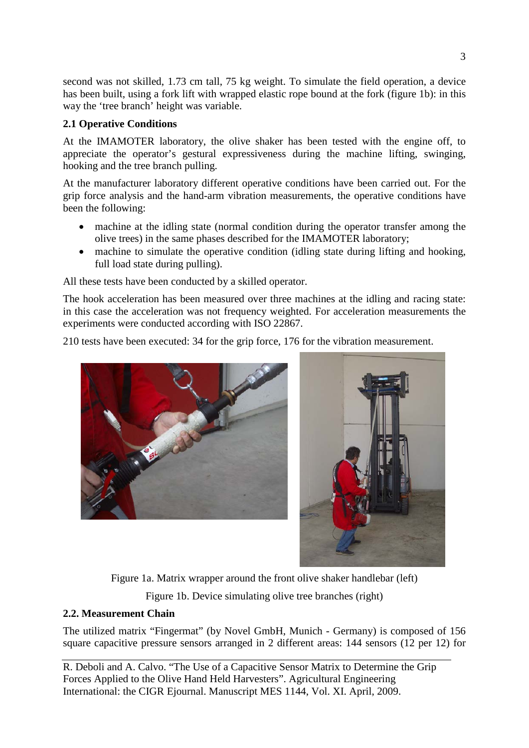second was not skilled, 1.73 cm tall, 75 kg weight. To simulate the field operation, a device has been built, using a fork lift with wrapped elastic rope bound at the fork (figure 1b): in this way the 'tree branch' height was variable.

# **2.1 Operative Conditions**

At the IMAMOTER laboratory, the olive shaker has been tested with the engine off, to appreciate the operator's gestural expressiveness during the machine lifting, swinging, hooking and the tree branch pulling.

At the manufacturer laboratory different operative conditions have been carried out. For the grip force analysis and the hand-arm vibration measurements, the operative conditions have been the following:

- machine at the idling state (normal condition during the operator transfer among the olive trees) in the same phases described for the IMAMOTER laboratory;
- machine to simulate the operative condition (idling state during lifting and hooking, full load state during pulling).

All these tests have been conducted by a skilled operator.

The hook acceleration has been measured over three machines at the idling and racing state: in this case the acceleration was not frequency weighted. For acceleration measurements the experiments were conducted according with ISO 22867.

210 tests have been executed: 34 for the grip force, 176 for the vibration measurement.





Figure 1a. Matrix wrapper around the front olive shaker handlebar (left)

Figure 1b. Device simulating olive tree branches (right)

# **2.2. Measurement Chain**

The utilized matrix "Fingermat" (by Novel GmbH, Munich - Germany) is composed of 156 square capacitive pressure sensors arranged in 2 different areas: 144 sensors (12 per 12) for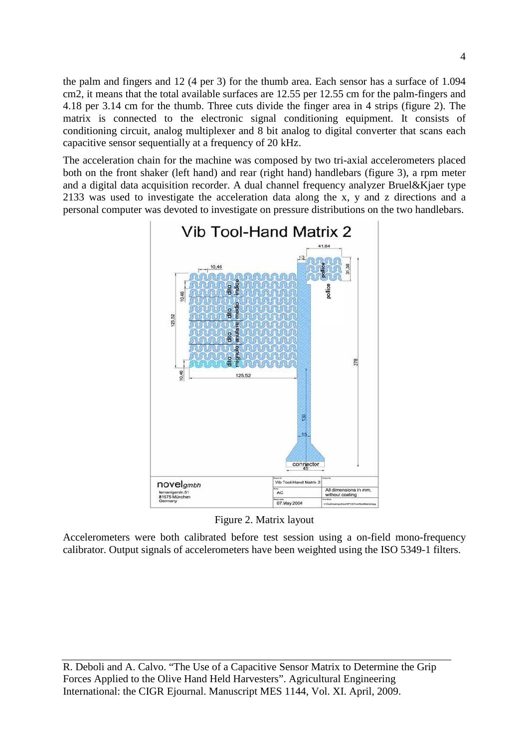the palm and fingers and 12 (4 per 3) for the thumb area. Each sensor has a surface of 1.094 cm2, it means that the total available surfaces are 12.55 per 12.55 cm for the palm-fingers and 4.18 per 3.14 cm for the thumb. Three cuts divide the finger area in 4 strips (figure 2). The matrix is connected to the electronic signal conditioning equipment. It consists of conditioning circuit, analog multiplexer and 8 bit analog to digital converter that scans each capacitive sensor sequentially at a frequency of 20 kHz.

The acceleration chain for the machine was composed by two tri-axial accelerometers placed both on the front shaker (left hand) and rear (right hand) handlebars (figure 3), a rpm meter and a digital data acquisition recorder. A dual channel frequency analyzer Bruel&Kjaer type 2133 was used to investigate the acceleration data along the x, y and z directions and a personal computer was devoted to investigate on pressure distributions on the two handlebars.



Figure 2. Matrix layout

Accelerometers were both calibrated before test session using a on-field mono-frequency calibrator. Output signals of accelerometers have been weighted using the ISO 5349-1 filters.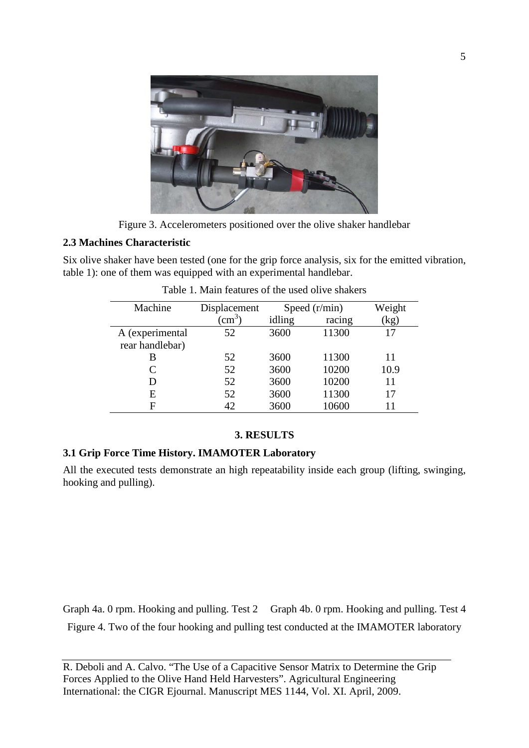

Figure 3. Accelerometers positioned over the olive shaker handlebar

### **2.3 Machines Characteristic**

Six olive shaker have been tested (one for the grip force analysis, six for the emitted vibration, table 1): one of them was equipped with an experimental handlebar.

| Machine         | Displacement     | Speed $(r/min)$ |        | Weight                   |
|-----------------|------------------|-----------------|--------|--------------------------|
|                 | $\rm \acute{c}m$ | idling          | racing | $\left(\text{kg}\right)$ |
| A (experimental | 52               | 3600            | 11300  | 17                       |
| rear handlebar) |                  |                 |        |                          |
| В               | 52               | 3600            | 11300  | 11                       |
| C               | 52               | 3600            | 10200  | 10.9                     |
| D               | 52               | 3600            | 10200  | 11                       |
| Е               | 52               | 3600            | 11300  | 17                       |
| F               | 42               | 3600            | 10600  | 11                       |

Table 1. Main features of the used olive shakers

# **3. RESULTS**

## **3.1 Grip Force Time History. IMAMOTER Laboratory**

All the executed tests demonstrate an high repeatability inside each group (lifting, swinging, hooking and pulling).

Graph 4a. 0 rpm. Hooking and pulling. Test 2 Graph 4b. 0 rpm. Hooking and pulling. Test 4 Figure 4. Two of the four hooking and pulling test conducted at the IMAMOTER laboratory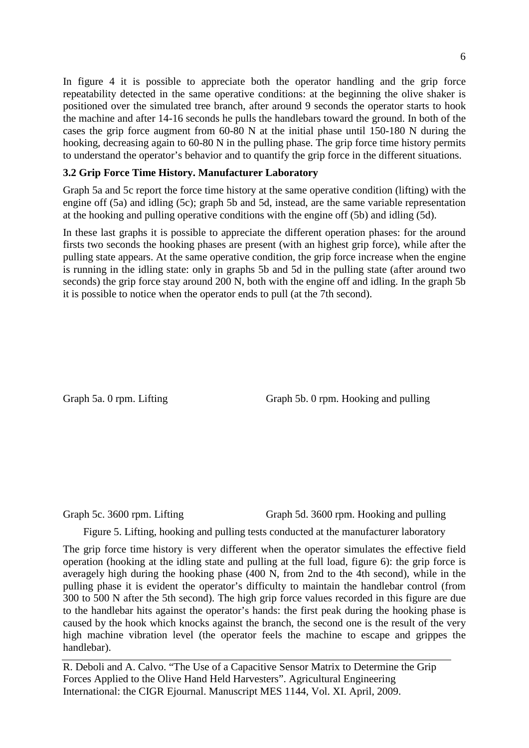In figure 4 it is possible to appreciate both the operator handling and the grip force repeatability detected in the same operative conditions: at the beginning the olive shaker is positioned over the simulated tree branch, after around 9 seconds the operator starts to hook the machine and after 14-16 seconds he pulls the handlebars toward the ground. In both of the cases the grip force augment from 60-80 N at the initial phase until 150-180 N during the hooking, decreasing again to 60-80 N in the pulling phase. The grip force time history permits to understand the operator's behavior and to quantify the grip force in the different situations.

### **3.2 Grip Force Time History. Manufacturer Laboratory**

Graph 5a and 5c report the force time history at the same operative condition (lifting) with the engine off (5a) and idling (5c); graph 5b and 5d, instead, are the same variable representation at the hooking and pulling operative conditions with the engine off (5b) and idling (5d).

In these last graphs it is possible to appreciate the different operation phases: for the around firsts two seconds the hooking phases are present (with an highest grip force), while after the pulling state appears. At the same operative condition, the grip force increase when the engine is running in the idling state: only in graphs 5b and 5d in the pulling state (after around two seconds) the grip force stay around 200 N, both with the engine off and idling. In the graph 5b it is possible to notice when the operator ends to pull (at the 7th second).

Graph 5a. 0 rpm. Lifting Graph 5b. 0 rpm. Hooking and pulling

Graph 5c. 3600 rpm. Lifting Graph 5d. 3600 rpm. Hooking and pulling

Figure 5. Lifting, hooking and pulling tests conducted at the manufacturer laboratory

The grip force time history is very different when the operator simulates the effective field operation (hooking at the idling state and pulling at the full load, figure 6): the grip force is averagely high during the hooking phase (400 N, from 2nd to the 4th second), while in the pulling phase it is evident the operator's difficulty to maintain the handlebar control (from 300 to 500 N after the 5th second). The high grip force values recorded in this figure are due to the handlebar hits against the operator's hands: the first peak during the hooking phase is caused by the hook which knocks against the branch, the second one is the result of the very high machine vibration level (the operator feels the machine to escape and grippes the handlebar).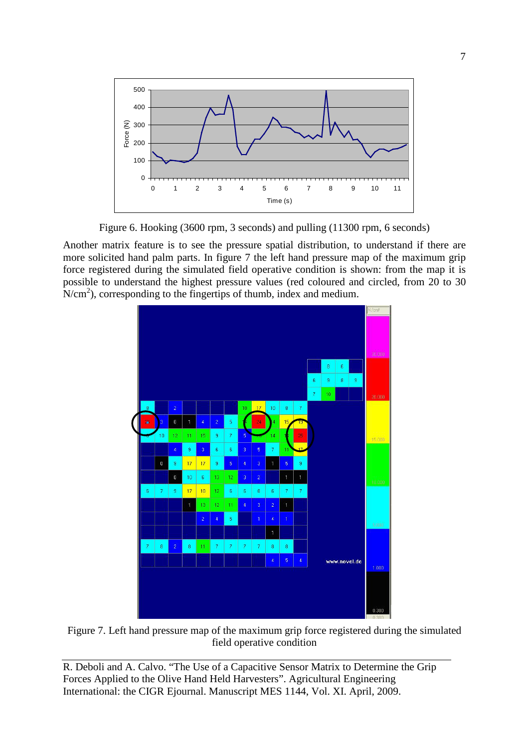

Figure 6. Hooking (3600 rpm, 3 seconds) and pulling (11300 rpm, 6 seconds)

Another matrix feature is to see the pressure spatial distribution, to understand if there are more solicited hand palm parts. In figure 7 the left hand pressure map of the maximum grip force registered during the simulated field operative condition is shown: from the map it is possible to understand the highest pressure values (red coloured and circled, from 20 to 30  $N/cm<sup>2</sup>$ ), corresponding to the fingertips of thumb, index and medium.



Figure 7. Left hand pressure map of the maximum grip force registered during the simulated field operative condition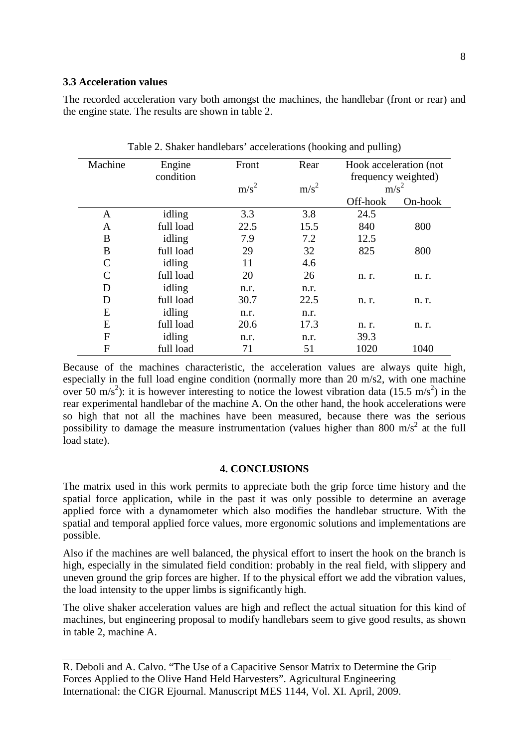#### **3.3 Acceleration values**

The recorded acceleration vary both amongst the machines, the handlebar (front or rear) and the engine state. The results are shown in table 2.

| Machine | Engine    | Front            | Rear             | Hook acceleration (not |         |
|---------|-----------|------------------|------------------|------------------------|---------|
|         | condition |                  |                  | frequency weighted)    |         |
|         |           | m/s <sup>2</sup> | m/s <sup>2</sup> | $m/s^2$                |         |
|         |           |                  |                  | Off-hook               | On-hook |
| A       | idling    | 3.3              | 3.8              | 24.5                   |         |
| A       | full load | 22.5             | 15.5             | 840                    | 800     |
| Β       | idling    | 7.9              | 7.2              | 12.5                   |         |
| B       | full load | 29               | 32               | 825                    | 800     |
| C       | idling    | 11               | 4.6              |                        |         |
| C       | full load | 20               | 26               | n. r.                  | n. r.   |
| D       | idling    | n.r.             | n.r.             |                        |         |
| D       | full load | 30.7             | 22.5             | n. r.                  | n. r.   |
| E       | idling    | n.r.             | n.r.             |                        |         |
| E       | full load | 20.6             | 17.3             | n. r.                  | n. r.   |
| F       | idling    | n.r.             | n.r.             | 39.3                   |         |
| F       | full load | 71               | 51               | 1020                   | 1040    |

Table 2. Shaker handlebars' accelerations (hooking and pulling)

Because of the machines characteristic, the acceleration values are always quite high, especially in the full load engine condition (normally more than 20 m/s2, with one machine over 50 m/s<sup>2</sup>): it is however interesting to notice the lowest vibration data (15.5 m/s<sup>2</sup>) in the rear experimental handlebar of the machine A. On the other hand, the hook accelerations were so high that not all the machines have been measured, because there was the serious possibility to damage the measure instrumentation (values higher than 800 m/s<sup>2</sup> at the full load state).

#### **4. CONCLUSIONS**

The matrix used in this work permits to appreciate both the grip force time history and the spatial force application, while in the past it was only possible to determine an average applied force with a dynamometer which also modifies the handlebar structure. With the spatial and temporal applied force values, more ergonomic solutions and implementations are possible.

Also if the machines are well balanced, the physical effort to insert the hook on the branch is high, especially in the simulated field condition: probably in the real field, with slippery and uneven ground the grip forces are higher. If to the physical effort we add the vibration values, the load intensity to the upper limbs is significantly high.

The olive shaker acceleration values are high and reflect the actual situation for this kind of machines, but engineering proposal to modify handlebars seem to give good results, as shown in table 2, machine A.